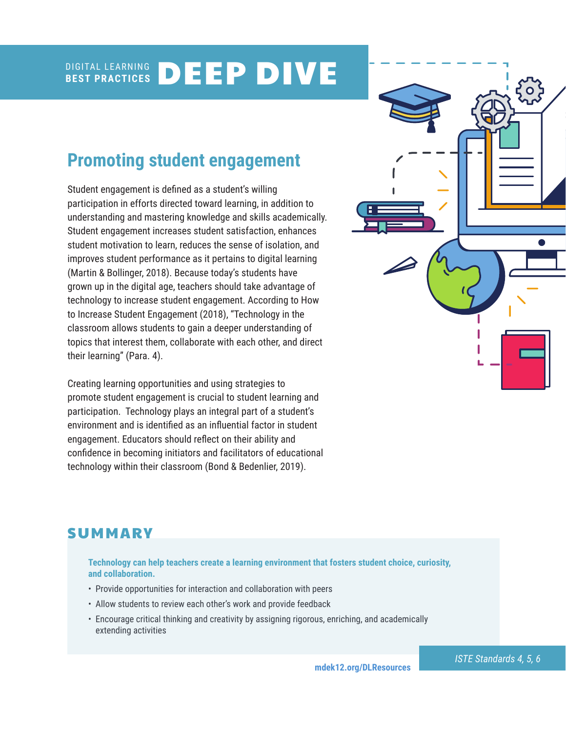#### DIGITAL LEARNING **BEST PRACTICES** DEEP DIVE

# **Promoting student engagement**

Student engagement is defined as a student's willing participation in efforts directed toward learning, in addition to understanding and mastering knowledge and skills academically. Student engagement increases student satisfaction, enhances student motivation to learn, reduces the sense of isolation, and improves student performance as it pertains to digital learning (Martin & Bollinger, 2018). Because today's students have grown up in the digital age, teachers should take advantage of technology to increase student engagement. According to How to Increase Student Engagement (2018), "Technology in the classroom allows students to gain a deeper understanding of topics that interest them, collaborate with each other, and direct their learning" (Para. 4).

Creating learning opportunities and using strategies to promote student engagement is crucial to student learning and participation. Technology plays an integral part of a student's environment and is identified as an influential factor in student engagement. Educators should reflect on their ability and confidence in becoming initiators and facilitators of educational technology within their classroom (Bond & Bedenlier, 2019).



## **SUMMARY**

**Technology can help teachers create a learning environment that fosters student choice, curiosity, and collaboration.** 

- Provide opportunities for interaction and collaboration with peers
- Allow students to review each other's work and provide feedback
- Encourage critical thinking and creativity by assigning rigorous, enriching, and academically extending activities

**[mdek12.org/DLResources](http://www.mdek12.org/DLResources)**

*ISTE Standards 4, 5, 6*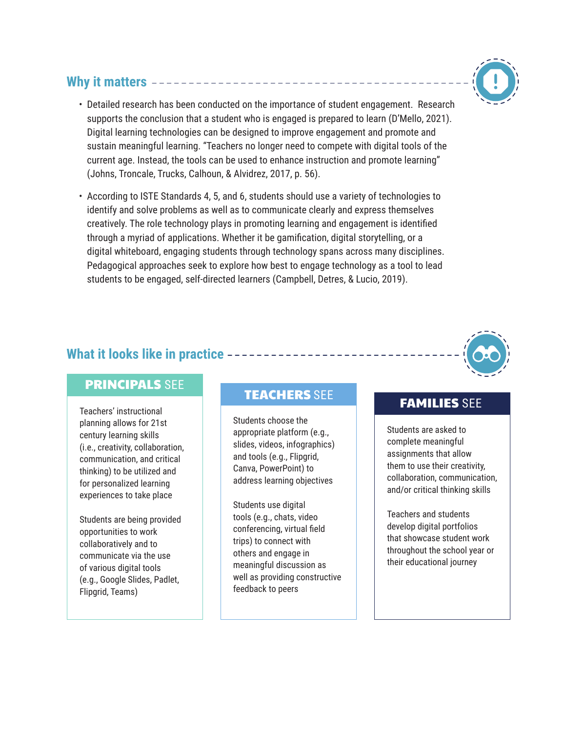## **Why it matters**



• According to ISTE Standards 4, 5, and 6, students should use a variety of technologies to identify and solve problems as well as to communicate clearly and express themselves creatively. The role technology plays in promoting learning and engagement is identified through a myriad of applications. Whether it be gamification, digital storytelling, or a digital whiteboard, engaging students through technology spans across many disciplines. Pedagogical approaches seek to explore how best to engage technology as a tool to lead students to be engaged, self-directed learners (Campbell, Detres, & Lucio, 2019).

## **What it looks like in practice**

## PRINCIPALS SEE

Teachers' instructional planning allows for 21st century learning skills (i.e., creativity, collaboration, communication, and critical thinking) to be utilized and for personalized learning experiences to take place

Students are being provided opportunities to work collaboratively and to communicate via the use of various digital tools (e.g., Google Slides, Padlet, Flipgrid, Teams)

# TEACHERS SEE TEAMILIES SEE

Students choose the appropriate platform (e.g., slides, videos, infographics) and tools (e.g., Flipgrid, Canva, PowerPoint) to address learning objectives

Students use digital tools (e.g., chats, video conferencing, virtual field trips) to connect with others and engage in meaningful discussion as well as providing constructive feedback to peers

Students are asked to complete meaningful assignments that allow them to use their creativity, collaboration, communication, and/or critical thinking skills

Teachers and students develop digital portfolios that showcase student work throughout the school year or their educational journey